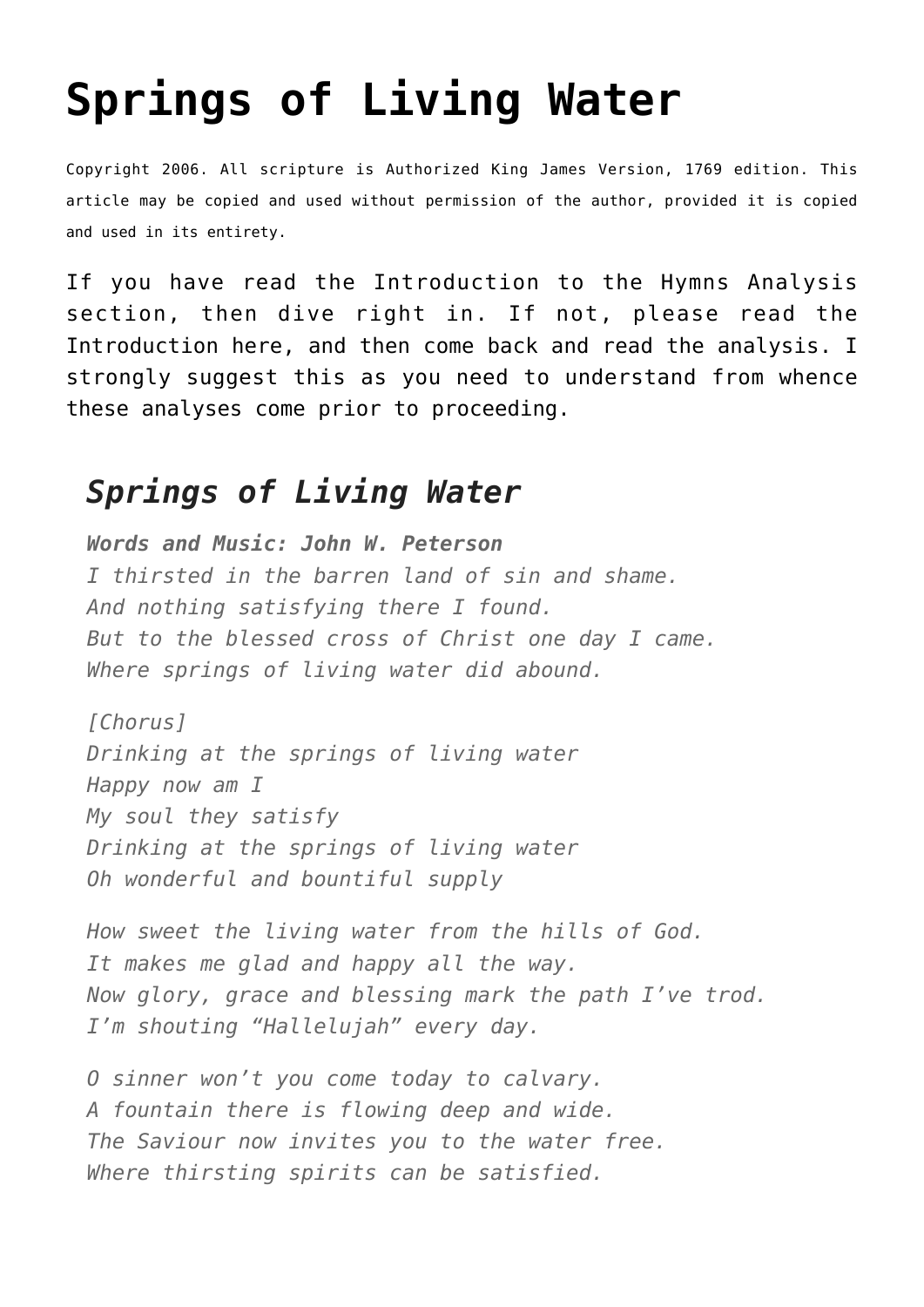## **[Springs of Living Water](http://reproachofmen.org/hymns-and-music/hymn-analysis/springs-of-living-water/)**

Copyright 2006. All scripture is Authorized King James Version, 1769 edition. This article may be copied and used without permission of the author, provided it is copied and used in its entirety.

If you have read the Introduction to the Hymns Analysis section, then dive right in. If not, please read the Introduction [here](http://www.reproachofmen.org/blog/hymns-and-music/hymn-analysis/), and then come back and read the analysis. I strongly suggest this as you need to understand from whence these analyses come prior to proceeding.

## *Springs of Living Water*

*Words and Music: John W. Peterson I thirsted in the barren land of sin and shame. And nothing satisfying there I found. But to the blessed cross of Christ one day I came. Where springs of living water did abound.*

*[Chorus] Drinking at the springs of living water Happy now am I My soul they satisfy Drinking at the springs of living water Oh wonderful and bountiful supply*

*How sweet the living water from the hills of God. It makes me glad and happy all the way. Now glory, grace and blessing mark the path I've trod. I'm shouting "Hallelujah" every day.*

*O sinner won't you come today to calvary. A fountain there is flowing deep and wide. The Saviour now invites you to the water free. Where thirsting spirits can be satisfied.*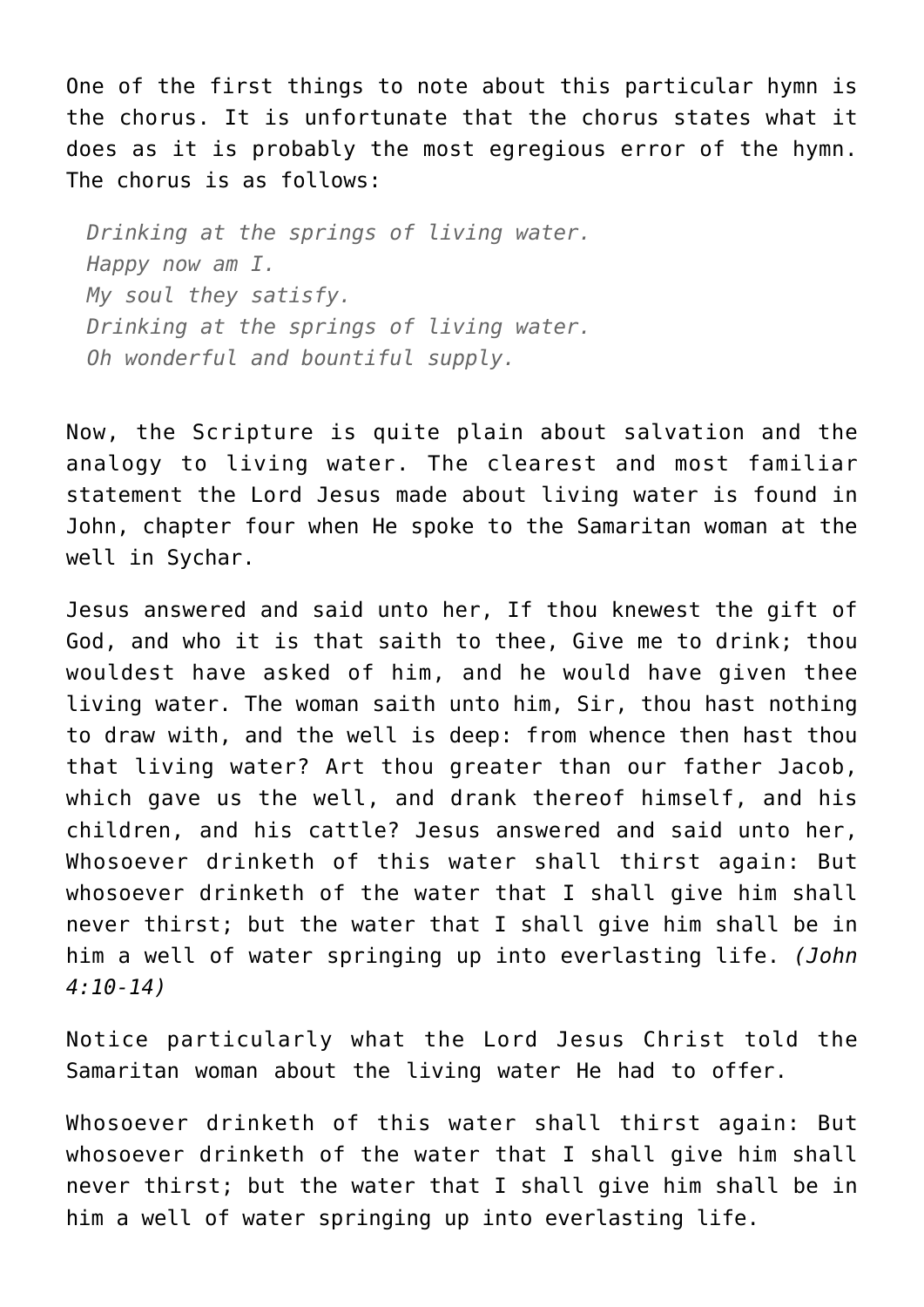One of the first things to note about this particular hymn is the chorus. It is unfortunate that the chorus states what it does as it is probably the most egregious error of the hymn. The chorus is as follows:

*Drinking at the springs of living water. Happy now am I. My soul they satisfy. Drinking at the springs of living water. Oh wonderful and bountiful supply.*

Now, the Scripture is quite plain about salvation and the analogy to living water. The clearest and most familiar statement the Lord Jesus made about living water is found in John, chapter four when He spoke to the Samaritan woman at the well in Sychar.

Jesus answered and said unto her, If thou knewest the gift of God, and who it is that saith to thee, Give me to drink; thou wouldest have asked of him, and he would have given thee living water. The woman saith unto him, Sir, thou hast nothing to draw with, and the well is deep: from whence then hast thou that living water? Art thou greater than our father Jacob, which gave us the well, and drank thereof himself, and his children, and his cattle? Jesus answered and said unto her, Whosoever drinketh of this water shall thirst again: But whosoever drinketh of the water that I shall give him shall never thirst; but the water that I shall give him shall be in him a well of water springing up into everlasting life. *(John 4:10-14)*

Notice particularly what the Lord Jesus Christ told the Samaritan woman about the living water He had to offer.

Whosoever drinketh of this water shall thirst again: But whosoever drinketh of the water that I shall give him shall never thirst; but the water that I shall give him shall be in him a well of water springing up into everlasting life.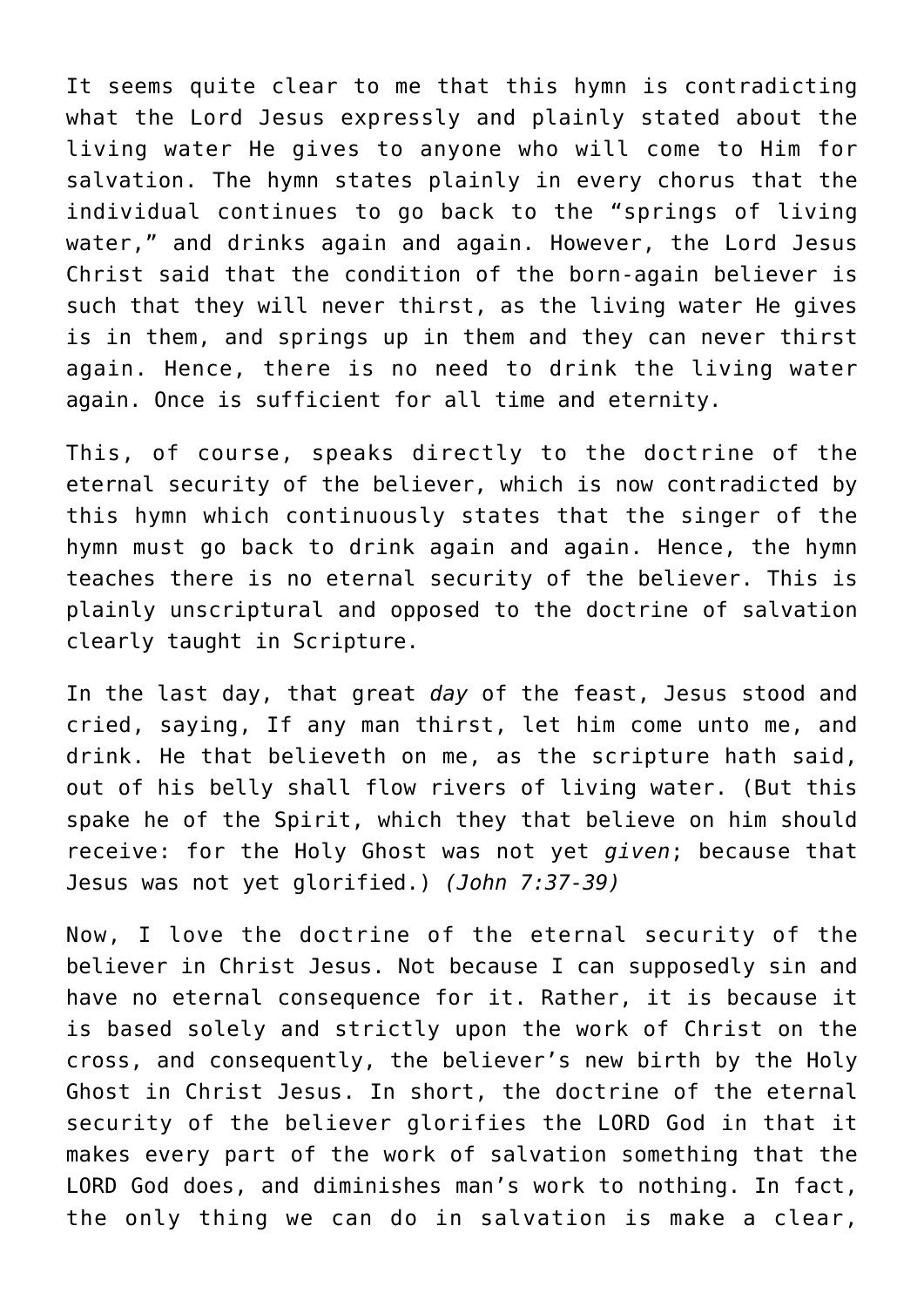It seems quite clear to me that this hymn is contradicting what the Lord Jesus expressly and plainly stated about the living water He gives to anyone who will come to Him for salvation. The hymn states plainly in every chorus that the individual continues to go back to the "springs of living water," and drinks again and again. However, the Lord Jesus Christ said that the condition of the born-again believer is such that they will never thirst, as the living water He gives is in them, and springs up in them and they can never thirst again. Hence, there is no need to drink the living water again. Once is sufficient for all time and eternity.

This, of course, speaks directly to the doctrine of the eternal security of the believer, which is now contradicted by this hymn which continuously states that the singer of the hymn must go back to drink again and again. Hence, the hymn teaches there is no eternal security of the believer. This is plainly unscriptural and opposed to the doctrine of salvation clearly taught in Scripture.

In the last day, that great *day* of the feast, Jesus stood and cried, saying, If any man thirst, let him come unto me, and drink. He that believeth on me, as the scripture hath said, out of his belly shall flow rivers of living water. (But this spake he of the Spirit, which they that believe on him should receive: for the Holy Ghost was not yet *given*; because that Jesus was not yet glorified.) *(John 7:37-39)*

Now, I love the doctrine of the eternal security of the believer in Christ Jesus. Not because I can supposedly sin and have no eternal consequence for it. Rather, it is because it is based solely and strictly upon the work of Christ on the cross, and consequently, the believer's new birth by the Holy Ghost in Christ Jesus. In short, the doctrine of the eternal security of the believer glorifies the LORD God in that it makes every part of the work of salvation something that the LORD God does, and diminishes man's work to nothing. In fact, the only thing we can do in salvation is make a clear,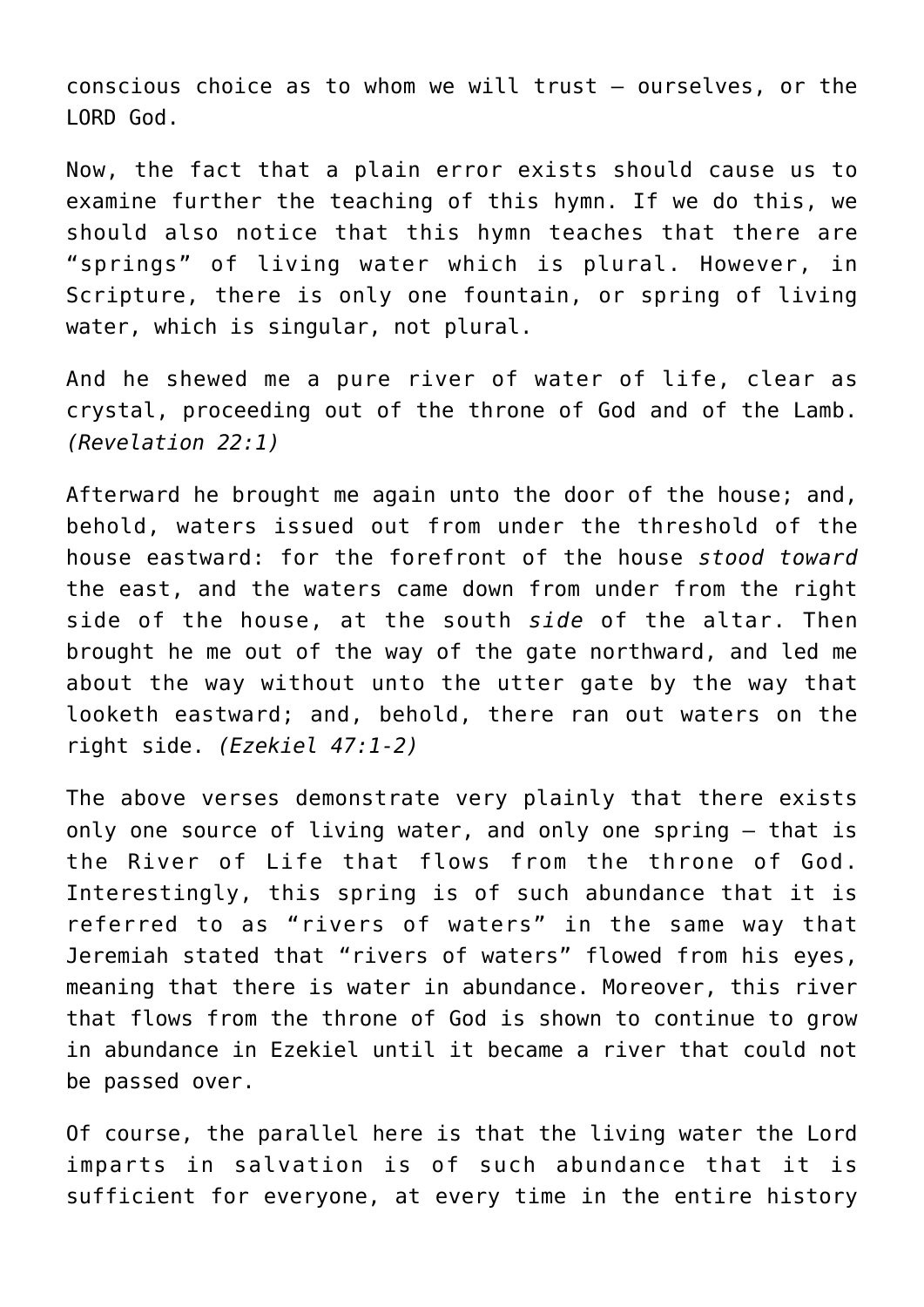conscious choice as to whom we will trust — ourselves, or the LORD God.

Now, the fact that a plain error exists should cause us to examine further the teaching of this hymn. If we do this, we should also notice that this hymn teaches that there are "springs" of living water which is plural. However, in Scripture, there is only one fountain, or spring of living water, which is singular, not plural.

And he shewed me a pure river of water of life, clear as crystal, proceeding out of the throne of God and of the Lamb. *(Revelation 22:1)*

Afterward he brought me again unto the door of the house; and, behold, waters issued out from under the threshold of the house eastward: for the forefront of the house *stood toward* the east, and the waters came down from under from the right side of the house, at the south *side* of the altar. Then brought he me out of the way of the gate northward, and led me about the way without unto the utter gate by the way that looketh eastward; and, behold, there ran out waters on the right side. *(Ezekiel 47:1-2)*

The above verses demonstrate very plainly that there exists only one source of living water, and only one spring — that is the River of Life that flows from the throne of God. Interestingly, this spring is of such abundance that it is referred to as "rivers of waters" in the same way that Jeremiah stated that "rivers of waters" flowed from his eyes, meaning that there is water in abundance. Moreover, this river that flows from the throne of God is shown to continue to grow in abundance in Ezekiel until it became a river that could not be passed over.

Of course, the parallel here is that the living water the Lord imparts in salvation is of such abundance that it is sufficient for everyone, at every time in the entire history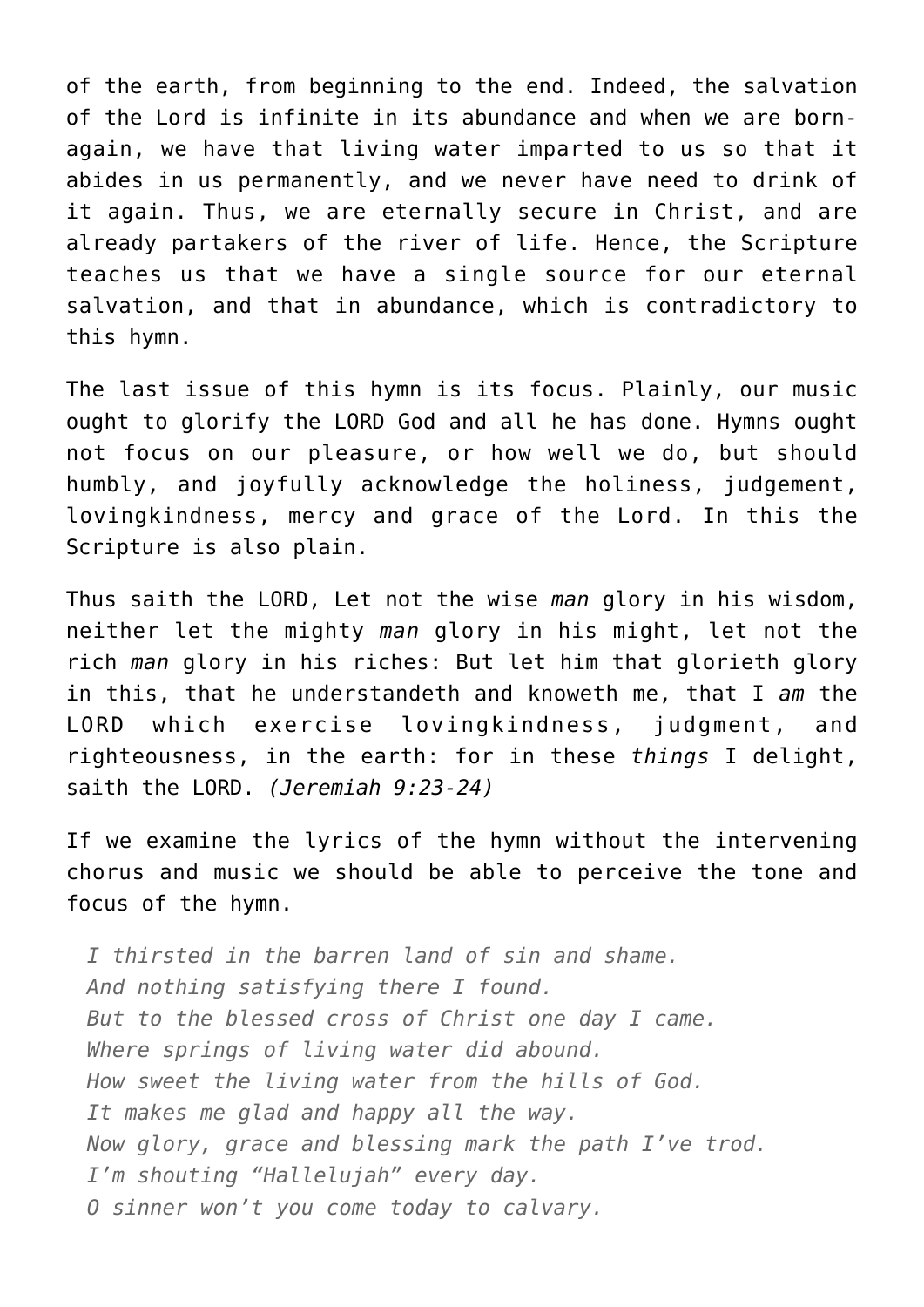of the earth, from beginning to the end. Indeed, the salvation of the Lord is infinite in its abundance and when we are bornagain, we have that living water imparted to us so that it abides in us permanently, and we never have need to drink of it again. Thus, we are eternally secure in Christ, and are already partakers of the river of life. Hence, the Scripture teaches us that we have a single source for our eternal salvation, and that in abundance, which is contradictory to this hymn.

The last issue of this hymn is its focus. Plainly, our music ought to glorify the LORD God and all he has done. Hymns ought not focus on our pleasure, or how well we do, but should humbly, and joyfully acknowledge the holiness, judgement, lovingkindness, mercy and grace of the Lord. In this the Scripture is also plain.

Thus saith the LORD, Let not the wise *man* glory in his wisdom, neither let the mighty *man* glory in his might, let not the rich *man* glory in his riches: But let him that glorieth glory in this, that he understandeth and knoweth me, that I *am* the LORD which exercise lovingkindness, judgment, and righteousness, in the earth: for in these *things* I delight, saith the LORD. *(Jeremiah 9:23-24)*

If we examine the lyrics of the hymn without the intervening chorus and music we should be able to perceive the tone and focus of the hymn.

*I thirsted in the barren land of sin and shame. And nothing satisfying there I found. But to the blessed cross of Christ one day I came. Where springs of living water did abound. How sweet the living water from the hills of God. It makes me glad and happy all the way. Now glory, grace and blessing mark the path I've trod. I'm shouting "Hallelujah" every day. O sinner won't you come today to calvary.*